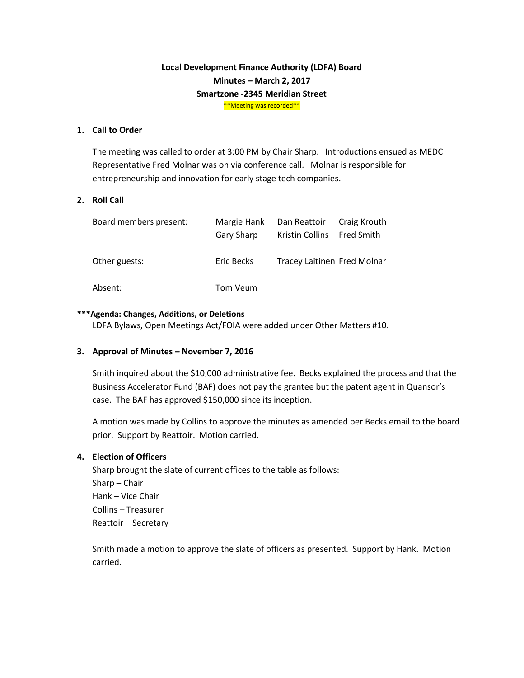# **Local Development Finance Authority (LDFA) Board Minutes – March 2, 2017 Smartzone -2345 Meridian Street** \*\*Meeting was recorded\*\*

### **1. Call to Order**

The meeting was called to order at 3:00 PM by Chair Sharp. Introductions ensued as MEDC Representative Fred Molnar was on via conference call. Molnar is responsible for entrepreneurship and innovation for early stage tech companies.

### **2. Roll Call**

| Board members present: | Margie Hank<br>Gary Sharp | Dan Reattoir Craig Krouth<br>Kristin Collins Fred Smith |  |
|------------------------|---------------------------|---------------------------------------------------------|--|
| Other guests:          | Eric Becks                | Tracey Laitinen Fred Molnar                             |  |
| Absent:                | Tom Veum                  |                                                         |  |

#### **\*\*\*Agenda: Changes, Additions, or Deletions**

LDFA Bylaws, Open Meetings Act/FOIA were added under Other Matters #10.

#### **3. Approval of Minutes – November 7, 2016**

Smith inquired about the \$10,000 administrative fee. Becks explained the process and that the Business Accelerator Fund (BAF) does not pay the grantee but the patent agent in Quansor's case. The BAF has approved \$150,000 since its inception.

A motion was made by Collins to approve the minutes as amended per Becks email to the board prior. Support by Reattoir. Motion carried.

#### **4. Election of Officers**

Sharp brought the slate of current offices to the table as follows: Sharp – Chair Hank – Vice Chair Collins – Treasurer Reattoir – Secretary

Smith made a motion to approve the slate of officers as presented. Support by Hank. Motion carried.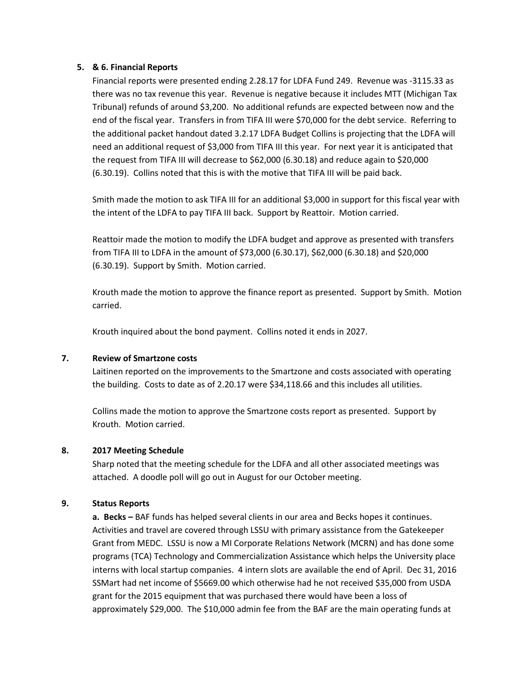### **5. & 6. Financial Reports**

Financial reports were presented ending 2.28.17 for LDFA Fund 249. Revenue was -3115.33 as there was no tax revenue this year. Revenue is negative because it includes MTT (Michigan Tax Tribunal) refunds of around \$3,200. No additional refunds are expected between now and the end of the fiscal year. Transfers in from TIFA III were \$70,000 for the debt service. Referring to the additional packet handout dated 3.2.17 LDFA Budget Collins is projecting that the LDFA will need an additional request of \$3,000 from TIFA III this year. For next year it is anticipated that the request from TIFA III will decrease to \$62,000 (6.30.18) and reduce again to \$20,000 (6.30.19). Collins noted that this is with the motive that TIFA III will be paid back.

Smith made the motion to ask TIFA III for an additional \$3,000 in support for this fiscal year with the intent of the LDFA to pay TIFA III back. Support by Reattoir. Motion carried.

Reattoir made the motion to modify the LDFA budget and approve as presented with transfers from TIFA III to LDFA in the amount of \$73,000 (6.30.17), \$62,000 (6.30.18) and \$20,000 (6.30.19). Support by Smith. Motion carried.

Krouth made the motion to approve the finance report as presented. Support by Smith. Motion carried.

Krouth inquired about the bond payment. Collins noted it ends in 2027.

### **7. Review of Smartzone costs**

Laitinen reported on the improvements to the Smartzone and costs associated with operating the building. Costs to date as of 2.20.17 were \$34,118.66 and this includes all utilities.

Collins made the motion to approve the Smartzone costs report as presented. Support by Krouth. Motion carried.

# **8. 2017 Meeting Schedule**

Sharp noted that the meeting schedule for the LDFA and all other associated meetings was attached. A doodle poll will go out in August for our October meeting.

### **9. Status Reports**

**a. Becks –** BAF funds has helped several clients in our area and Becks hopes it continues. Activities and travel are covered through LSSU with primary assistance from the Gatekeeper Grant from MEDC. LSSU is now a MI Corporate Relations Network (MCRN) and has done some programs (TCA) Technology and Commercialization Assistance which helps the University place interns with local startup companies. 4 intern slots are available the end of April. Dec 31, 2016 SSMart had net income of \$5669.00 which otherwise had he not received \$35,000 from USDA grant for the 2015 equipment that was purchased there would have been a loss of approximately \$29,000. The \$10,000 admin fee from the BAF are the main operating funds at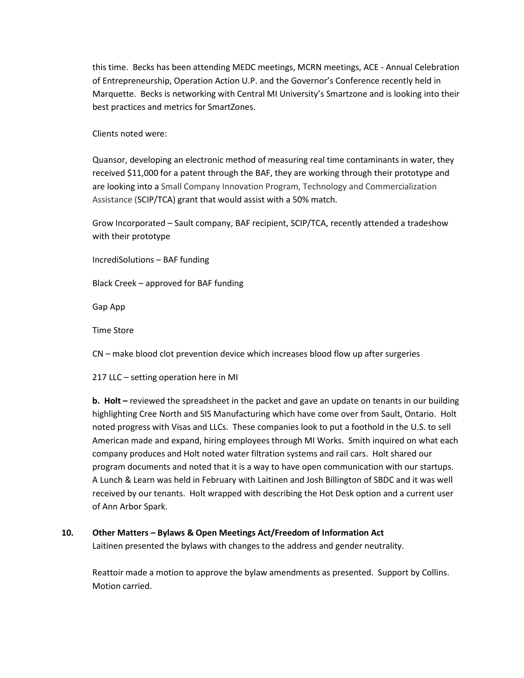this time. Becks has been attending MEDC meetings, MCRN meetings, ACE - Annual Celebration of Entrepreneurship, Operation Action U.P. and the Governor's Conference recently held in Marquette. Becks is networking with Central MI University's Smartzone and is looking into their best practices and metrics for SmartZones.

Clients noted were:

Quansor, developing an electronic method of measuring real time contaminants in water, they received \$11,000 for a patent through the BAF, they are working through their prototype and are looking into a Small Company Innovation Program, Technology and Commercialization Assistance (SCIP/TCA) grant that would assist with a 50% match.

Grow Incorporated – Sault company, BAF recipient, SCIP/TCA, recently attended a tradeshow with their prototype

IncrediSolutions – BAF funding

Black Creek – approved for BAF funding

Gap App

Time Store

CN – make blood clot prevention device which increases blood flow up after surgeries

217 LLC – setting operation here in MI

**b. Holt –** reviewed the spreadsheet in the packet and gave an update on tenants in our building highlighting Cree North and SIS Manufacturing which have come over from Sault, Ontario. Holt noted progress with Visas and LLCs. These companies look to put a foothold in the U.S. to sell American made and expand, hiring employees through MI Works. Smith inquired on what each company produces and Holt noted water filtration systems and rail cars. Holt shared our program documents and noted that it is a way to have open communication with our startups. A Lunch & Learn was held in February with Laitinen and Josh Billington of SBDC and it was well received by our tenants. Holt wrapped with describing the Hot Desk option and a current user of Ann Arbor Spark.

### **10. Other Matters – Bylaws & Open Meetings Act/Freedom of Information Act**

Laitinen presented the bylaws with changes to the address and gender neutrality.

Reattoir made a motion to approve the bylaw amendments as presented. Support by Collins. Motion carried.